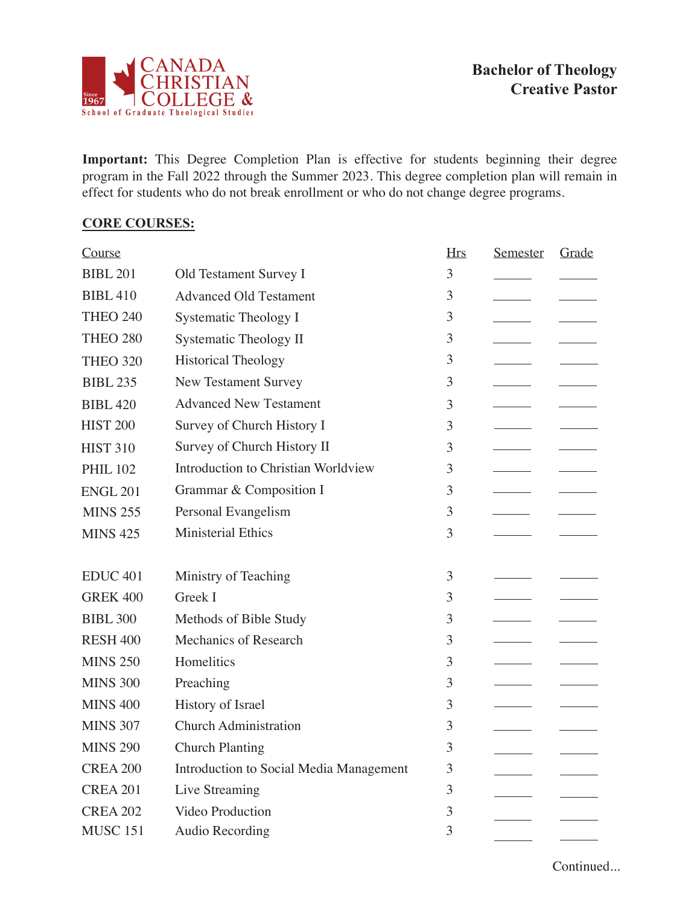

**Important:** This Degree Completion Plan is effective for students beginning their degree program in the Fall 2022 through the Summer 2023. This degree completion plan will remain in effect for students who do not break enrollment or who do not change degree programs.

## **CORE COURSES:**

| Course              |                                         | <b>Hrs</b> | Semester | Grade |
|---------------------|-----------------------------------------|------------|----------|-------|
| <b>BIBL 201</b>     | Old Testament Survey I                  | 3          |          |       |
| <b>BIBL 410</b>     | <b>Advanced Old Testament</b>           | 3          |          |       |
| <b>THEO 240</b>     | Systematic Theology I                   | 3          |          |       |
| <b>THEO 280</b>     | <b>Systematic Theology II</b>           | 3          |          |       |
| <b>THEO 320</b>     | <b>Historical Theology</b>              | 3          |          |       |
| <b>BIBL 235</b>     | <b>New Testament Survey</b>             | 3          |          |       |
| <b>BIBL 420</b>     | <b>Advanced New Testament</b>           | 3          |          |       |
| <b>HIST 200</b>     | Survey of Church History I              | 3          |          |       |
| <b>HIST 310</b>     | Survey of Church History II             | 3          |          |       |
| <b>PHIL 102</b>     | Introduction to Christian Worldview     | 3          |          |       |
| <b>ENGL 201</b>     | Grammar & Composition I                 | 3          |          |       |
| <b>MINS 255</b>     | Personal Evangelism                     | 3          |          |       |
| <b>MINS 425</b>     | <b>Ministerial Ethics</b>               | 3          |          |       |
|                     |                                         |            |          |       |
| EDUC <sub>401</sub> | Ministry of Teaching                    | 3          |          |       |
| <b>GREK 400</b>     | Greek I                                 | 3          |          |       |
| <b>BIBL 300</b>     | Methods of Bible Study                  | 3          |          |       |
| <b>RESH 400</b>     | Mechanics of Research                   | 3          |          |       |
| <b>MINS 250</b>     | Homelitics                              | 3          |          |       |
| <b>MINS 300</b>     | Preaching                               | 3          |          |       |
| <b>MINS 400</b>     | History of Israel                       | 3          |          |       |
| <b>MINS 307</b>     | <b>Church Administration</b>            | 3          |          |       |
| <b>MINS 290</b>     | <b>Church Planting</b>                  | 3          |          |       |
| <b>CREA 200</b>     | Introduction to Social Media Management | 3          |          |       |
| <b>CREA 201</b>     | Live Streaming                          | 3          |          |       |
| <b>CREA 202</b>     | Video Production                        | 3          |          |       |
| <b>MUSC 151</b>     | <b>Audio Recording</b>                  | 3          |          |       |

Continued...